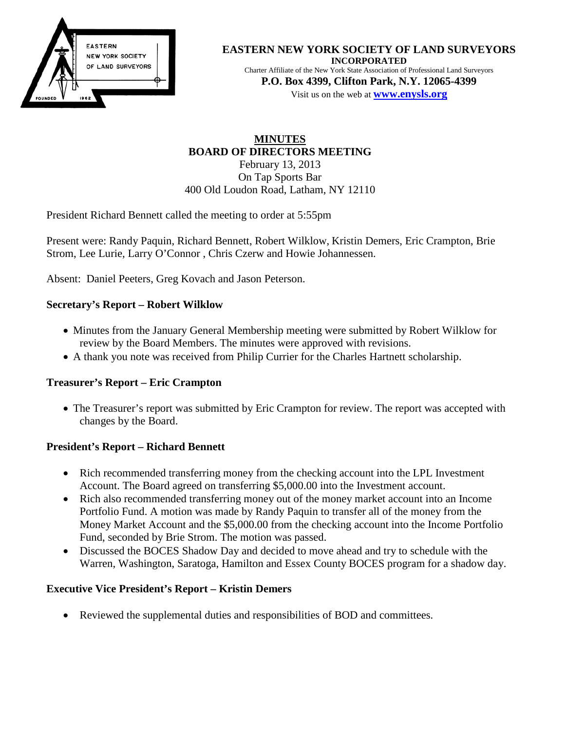

**EASTERN NEW YORK SOCIETY OF LAND SURVEYORS INCORPORATED** Charter Affiliate of the New York State Association of Professional Land Surveyors

**P.O. Box 4399, Clifton Park, N.Y. 12065-4399** Visit us on the web at **[www.e](http://www.enysls.org/)nysls.org**

# **MINUTES BOARD OF DIRECTORS MEETING** February 13, 2013 On Tap Sports Bar 400 Old Loudon Road, Latham, NY 12110

President Richard Bennett called the meeting to order at 5:55pm

Present were: Randy Paquin, Richard Bennett, Robert Wilklow, Kristin Demers, Eric Crampton, Brie Strom, Lee Lurie, Larry O'Connor , Chris Czerw and Howie Johannessen.

Absent: Daniel Peeters, Greg Kovach and Jason Peterson.

## **Secretary's Report – Robert Wilklow**

- Minutes from the January General Membership meeting were submitted by Robert Wilklow for review by the Board Members. The minutes were approved with revisions.
- A thank you note was received from Philip Currier for the Charles Hartnett scholarship.

## **Treasurer's Report – Eric Crampton**

• The Treasurer's report was submitted by Eric Crampton for review. The report was accepted with changes by the Board.

## **President's Report – Richard Bennett**

- Rich recommended transferring money from the checking account into the LPL Investment Account. The Board agreed on transferring \$5,000.00 into the Investment account.
- Rich also recommended transferring money out of the money market account into an Income Portfolio Fund. A motion was made by Randy Paquin to transfer all of the money from the Money Market Account and the \$5,000.00 from the checking account into the Income Portfolio Fund, seconded by Brie Strom. The motion was passed.
- Discussed the BOCES Shadow Day and decided to move ahead and try to schedule with the Warren, Washington, Saratoga, Hamilton and Essex County BOCES program for a shadow day.

## **Executive Vice President's Report – Kristin Demers**

• Reviewed the supplemental duties and responsibilities of BOD and committees.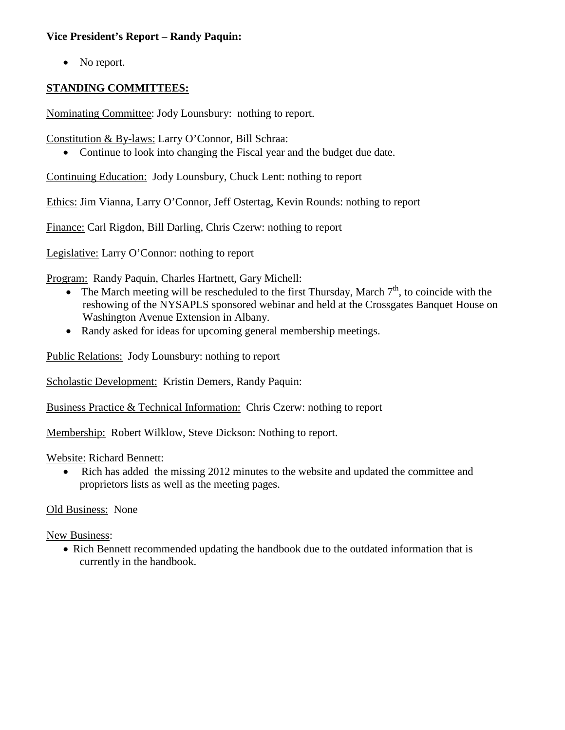### **Vice President's Report – Randy Paquin:**

• No report.

## **STANDING COMMITTEES:**

Nominating Committee: Jody Lounsbury: nothing to report.

Constitution & By-laws: Larry O'Connor, Bill Schraa:

• Continue to look into changing the Fiscal year and the budget due date.

Continuing Education: Jody Lounsbury, Chuck Lent: nothing to report

Ethics: Jim Vianna, Larry O'Connor, Jeff Ostertag, Kevin Rounds: nothing to report

Finance: Carl Rigdon, Bill Darling, Chris Czerw: nothing to report

Legislative: Larry O'Connor: nothing to report

Program: Randy Paquin, Charles Hartnett, Gary Michell:

- The March meeting will be rescheduled to the first Thursday, March  $7<sup>th</sup>$ , to coincide with the reshowing of the NYSAPLS sponsored webinar and held at the Crossgates Banquet House on Washington Avenue Extension in Albany.
- Randy asked for ideas for upcoming general membership meetings.

Public Relations: Jody Lounsbury: nothing to report

Scholastic Development: Kristin Demers, Randy Paquin:

Business Practice & Technical Information: Chris Czerw: nothing to report

Membership: Robert Wilklow, Steve Dickson: Nothing to report.

Website: Richard Bennett:

• Rich has added the missing 2012 minutes to the website and updated the committee and proprietors lists as well as the meeting pages.

Old Business: None

New Business:

• Rich Bennett recommended updating the handbook due to the outdated information that is currently in the handbook.